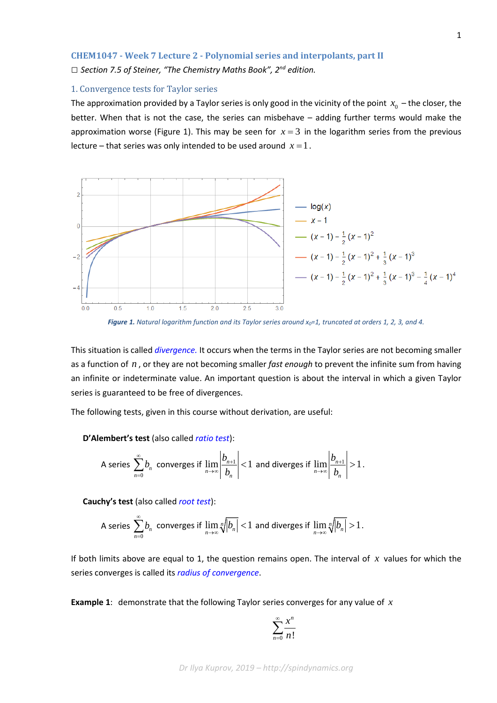## **CHEM1047 - Week 7 Lecture 2 - Polynomial series and interpolants, part II**

*□ Section 7.5 of Steiner, "The Chemistry Maths Book", 2nd edition.*

## 1. Convergence tests for Taylor series

The approximation provided by a Taylor series is only good in the vicinity of the point  $x_0$  – the closer, the better. When that is not the case, the series can misbehave – adding further terms would make the approximation worse (Figure 1). This may be seen for  $x = 3$  in the logarithm series from the previous lecture – that series was only intended to be used around  $x = 1$ .



Figure 1. Natural logarithm function and its Taylor series around x<sub>0</sub>=1, truncated at orders 1, 2, 3, and 4.

This situation is called *[divergence.](https://en.wikipedia.org/wiki/Divergent_series)* It occurs when the terms in the Taylor series are not becoming smaller as a function of *n* , or they are not becoming smaller *fast enough* to prevent the infinite sum from having an infinite or indeterminate value. An important question is about the interval in which a given Taylor series is guaranteed to be free of divergences.

The following tests, given in this course without derivation, are useful:

**D'Alembert's test** (also called *[ratio test](https://en.wikipedia.org/wiki/Ratio_test)*):

A series 
$$
\sum_{n=0}^{\infty} b_n
$$
 converges if  $\lim_{n \to \infty} \left| \frac{b_{n+1}}{b_n} \right| < 1$  and diverges if  $\lim_{n \to \infty} \left| \frac{b_{n+1}}{b_n} \right| > 1$ .

**Cauchy's test** (also called *[root test](https://en.wikipedia.org/wiki/Root_test)*):

A series 
$$
\sum_{n=0}^{\infty} b_n
$$
 converges if  $\lim_{n \to \infty} \sqrt[n]{|b_n|} < 1$  and diverges if  $\lim_{n \to \infty} \sqrt[n]{|b_n|} > 1$ .

If both limits above are equal to 1, the question remains open. The interval of *x* values for which the series converges is called its *[radius of convergence](https://en.wikipedia.org/wiki/Radius_of_convergence)*.

**Example 1**: demonstrate that the following Taylor series converges for any value of *x*

$$
\sum_{n=0}^{\infty} \frac{x^n}{n!}
$$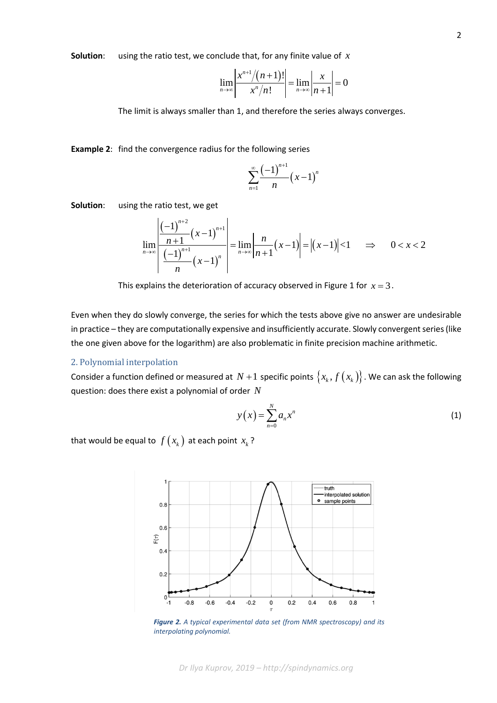**Solution**: using the ratio test, we conclude that, for any finite value of *x*

$$
\lim_{n\to\infty}\left|\frac{x^{n+1}/(n+1)!}{x^n/n!}\right|=\lim_{n\to\infty}\left|\frac{x}{n+1}\right|=0
$$

The limit is always smaller than 1, and therefore the series always converges.

**Example 2**: find the convergence radius for the following series

$$
\sum_{n=1}^{\infty} \frac{(-1)^{n+1}}{n} (x-1)^n
$$

**Solution**: using the ratio test, we get

$$
\lim_{n \to \infty} \left| \frac{\left(-1\right)^{n+2}}{\left(\frac{n+1}{n}\right)^{n+1}} \right| = \lim_{n \to \infty} \left| \frac{n}{n+1} (x-1) \right| = \left| (x-1) \right| < 1 \implies 0 < x < 2
$$

This explains the deterioration of accuracy observed in Figure 1 for  $x = 3$ .

Even when they do slowly converge, the series for which the tests above give no answer are undesirable in practice – they are computationally expensive and insufficiently accurate. Slowly convergent series (like the one given above for the logarithm) are also problematic in finite precision machine arithmetic.

## 2. Polynomial interpolation

Consider a function defined or measured at  $N+1$  specific points  $\{x_k, f(x_k)\}\$ . We can ask the following question: does there exist a polynomial of order *N*

$$
y(x) = \sum_{n=0}^{N} a_n x^n
$$
 (1)

that would be equal to  $f(x_k)$  at each point  $x_k$ ?



*Figure 2. A typical experimental data set (from NMR spectroscopy) and its interpolating polynomial.*